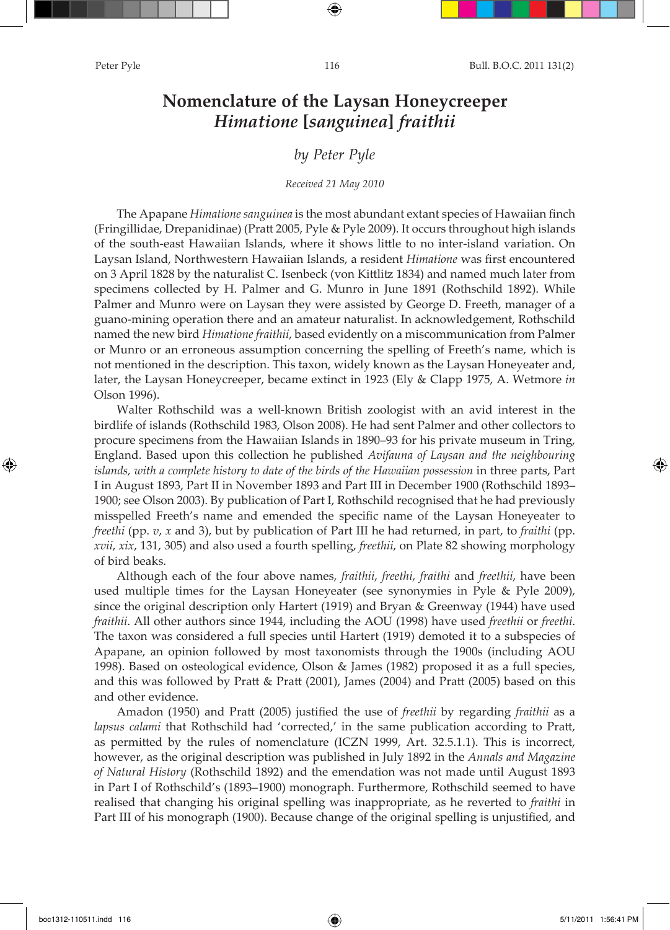# **Nomenclature of the Laysan Honeycreeper**  *Himatione* **[***sanguinea***]** *fraithii*

## *by Peter Pyle*

## *Received 21 May 2010*

The Apapane *Himatione sanguinea* is the most abundant extant species of Hawaiian finch (Fringillidae, Drepanidinae) (Pratt 2005, Pyle & Pyle 2009). It occurs throughout high islands of the south-east Hawaiian Islands, where it shows little to no inter-island variation. On Laysan Island, Northwestern Hawaiian Islands, a resident *Himatione* was first encountered on 3 April 1828 by the naturalist C. Isenbeck (von Kittlitz 1834) and named much later from specimens collected by H. Palmer and G. Munro in June 1891 (Rothschild 1892). While Palmer and Munro were on Laysan they were assisted by George D. Freeth, manager of a guano-mining operation there and an amateur naturalist. In acknowledgement, Rothschild named the new bird *Himatione fraithii*, based evidently on a miscommunication from Palmer or Munro or an erroneous assumption concerning the spelling of Freeth's name, which is not mentioned in the description. This taxon, widely known as the Laysan Honeyeater and, later, the Laysan Honeycreeper, became extinct in 1923 (Ely & Clapp 1975, A. Wetmore *in* Olson 1996).

Walter Rothschild was a well-known British zoologist with an avid interest in the birdlife of islands (Rothschild 1983, Olson 2008). He had sent Palmer and other collectors to procure specimens from the Hawaiian Islands in 1890–93 for his private museum in Tring, England. Based upon this collection he published *Avifauna of Laysan and the neighbouring islands, with a complete history to date of the birds of the Hawaiian possession* in three parts, Part I in August 1893, Part II in November 1893 and Part III in December 1900 (Rothschild 1893– 1900; see Olson 2003). By publication of Part I, Rothschild recognised that he had previously misspelled Freeth's name and emended the specific name of the Laysan Honeyeater to *freethi* (pp. *v*, *x* and 3), but by publication of Part III he had returned, in part, to *fraithi* (pp. *xvii*, *xix*, 131, 305) and also used a fourth spelling, *freethii*, on Plate 82 showing morphology of bird beaks.

Although each of the four above names, *fraithii*, *freethi*, *fraithi* and *freethii*, have been used multiple times for the Laysan Honeyeater (see synonymies in Pyle & Pyle 2009), since the original description only Hartert (1919) and Bryan & Greenway (1944) have used *fraithii*. All other authors since 1944, including the AOU (1998) have used *freethii* or *freethi*. The taxon was considered a full species until Hartert (1919) demoted it to a subspecies of Apapane, an opinion followed by most taxonomists through the 1900s (including AOU 1998). Based on osteological evidence, Olson & James (1982) proposed it as a full species, and this was followed by Pratt & Pratt (2001), James (2004) and Pratt (2005) based on this and other evidence.

Amadon (1950) and Pratt (2005) justified the use of *freethii* by regarding *fraithii* as a *lapsus calami* that Rothschild had 'corrected,' in the same publication according to Pratt, as permitted by the rules of nomenclature (ICZN 1999, Art. 32.5.1.1). This is incorrect, however, as the original description was published in July 1892 in the *Annals and Magazine of Natural History* (Rothschild 1892) and the emendation was not made until August 1893 in Part I of Rothschild's (1893–1900) monograph. Furthermore, Rothschild seemed to have realised that changing his original spelling was inappropriate, as he reverted to *fraithi* in Part III of his monograph (1900). Because change of the original spelling is unjustified, and

↔

↔

⊕